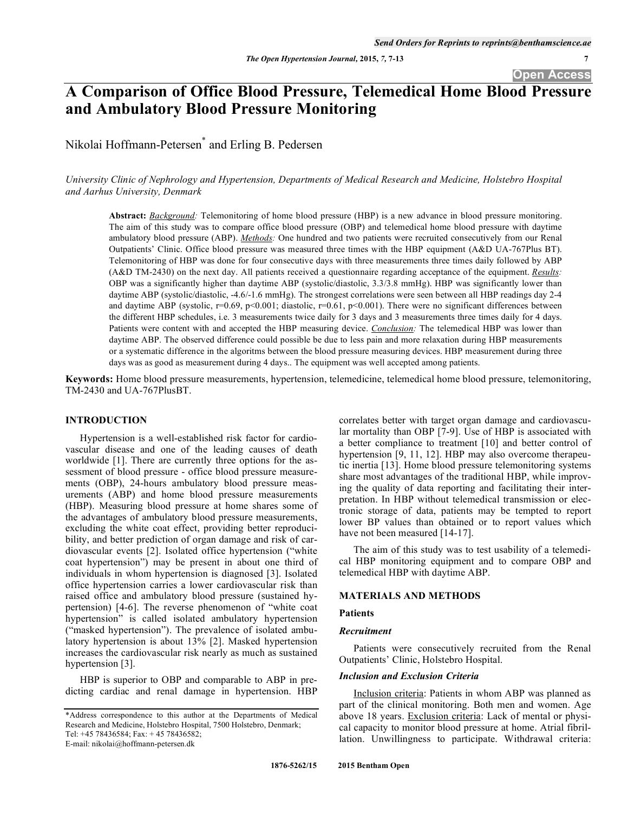**Open Access** 

# **A Comparison of Office Blood Pressure, Telemedical Home Blood Pressure and Ambulatory Blood Pressure Monitoring**

Nikolai Hoffmann-Petersen\* and Erling B. Pedersen

*University Clinic of Nephrology and Hypertension, Departments of Medical Research and Medicine, Holstebro Hospital and Aarhus University, Denmark* 

**Abstract:** *Background:* Telemonitoring of home blood pressure (HBP) is a new advance in blood pressure monitoring. The aim of this study was to compare office blood pressure (OBP) and telemedical home blood pressure with daytime ambulatory blood pressure (ABP). *Methods:* One hundred and two patients were recruited consecutively from our Renal Outpatients' Clinic. Office blood pressure was measured three times with the HBP equipment (A&D UA-767Plus BT). Telemonitoring of HBP was done for four consecutive days with three measurements three times daily followed by ABP (A&D TM-2430) on the next day. All patients received a questionnaire regarding acceptance of the equipment. *Results:* OBP was a significantly higher than daytime ABP (systolic/diastolic, 3.3/3.8 mmHg). HBP was significantly lower than daytime ABP (systolic/diastolic, -4.6/-1.6 mmHg). The strongest correlations were seen between all HBP readings day 2-4 and daytime ABP (systolic,  $r=0.69$ ,  $p<0.001$ ; diastolic,  $r=0.61$ ,  $p<0.001$ ). There were no significant differences between the different HBP schedules, i.e. 3 measurements twice daily for 3 days and 3 measurements three times daily for 4 days. Patients were content with and accepted the HBP measuring device. *Conclusion:* The telemedical HBP was lower than daytime ABP. The observed difference could possible be due to less pain and more relaxation during HBP measurements or a systematic difference in the algoritms between the blood pressure measuring devices. HBP measurement during three days was as good as measurement during 4 days.. The equipment was well accepted among patients.

**Keywords:** Home blood pressure measurements, hypertension, telemedicine, telemedical home blood pressure, telemonitoring, TM-2430 and UA-767PlusBT.

#### **INTRODUCTION**

Hypertension is a well-established risk factor for cardiovascular disease and one of the leading causes of death worldwide [1]. There are currently three options for the assessment of blood pressure - office blood pressure measurements (OBP), 24-hours ambulatory blood pressure measurements (ABP) and home blood pressure measurements (HBP). Measuring blood pressure at home shares some of the advantages of ambulatory blood pressure measurements, excluding the white coat effect, providing better reproducibility, and better prediction of organ damage and risk of cardiovascular events [2]. Isolated office hypertension ("white coat hypertension") may be present in about one third of individuals in whom hypertension is diagnosed [3]. Isolated office hypertension carries a lower cardiovascular risk than raised office and ambulatory blood pressure (sustained hypertension) [4-6]. The reverse phenomenon of "white coat hypertension" is called isolated ambulatory hypertension ("masked hypertension"). The prevalence of isolated ambulatory hypertension is about 13% [2]. Masked hypertension increases the cardiovascular risk nearly as much as sustained hypertension [3].

HBP is superior to OBP and comparable to ABP in predicting cardiac and renal damage in hypertension. HBP correlates better with target organ damage and cardiovascular mortality than OBP [7-9]. Use of HBP is associated with a better compliance to treatment [10] and better control of hypertension [9, 11, 12]. HBP may also overcome therapeutic inertia [13]. Home blood pressure telemonitoring systems share most advantages of the traditional HBP, while improving the quality of data reporting and facilitating their interpretation. In HBP without telemedical transmission or electronic storage of data, patients may be tempted to report lower BP values than obtained or to report values which have not been measured [14-17].

The aim of this study was to test usability of a telemedical HBP monitoring equipment and to compare OBP and telemedical HBP with daytime ABP.

# **MATERIALS AND METHODS**

# **Patients**

# *Recruitment*

Patients were consecutively recruited from the Renal Outpatients' Clinic, Holstebro Hospital.

# *Inclusion and Exclusion Criteria*

Inclusion criteria: Patients in whom ABP was planned as part of the clinical monitoring. Both men and women. Age above 18 years. Exclusion criteria: Lack of mental or physical capacity to monitor blood pressure at home. Atrial fibrillation. Unwillingness to participate. Withdrawal criteria:

<sup>\*</sup>Address correspondence to this author at the Departments of Medical Research and Medicine, Holstebro Hospital, 7500 Holstebro, Denmark; Tel: +45 78436584; Fax: + 45 78436582;

E-mail: nikolai@hoffmann-petersen.dk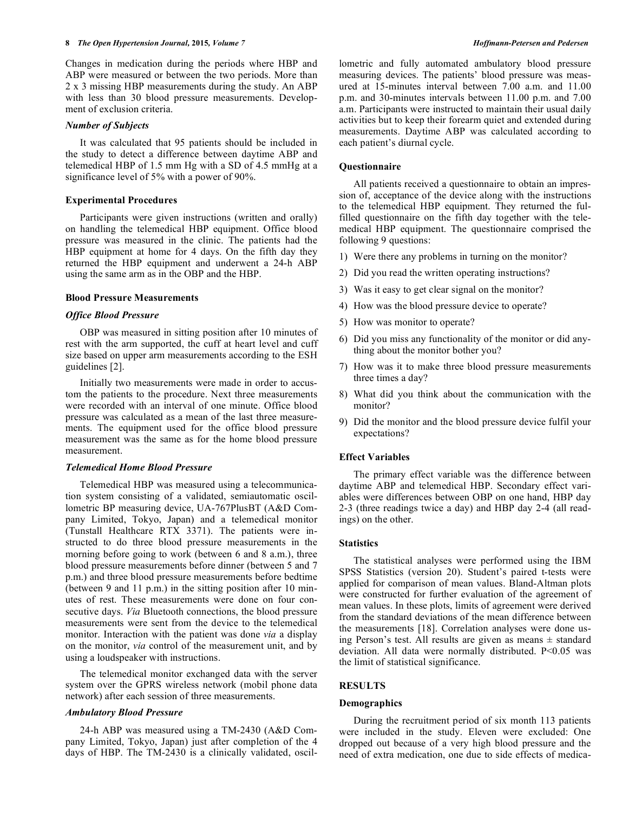Changes in medication during the periods where HBP and ABP were measured or between the two periods. More than 2 x 3 missing HBP measurements during the study. An ABP with less than 30 blood pressure measurements. Development of exclusion criteria.

# *Number of Subjects*

It was calculated that 95 patients should be included in the study to detect a difference between daytime ABP and telemedical HBP of 1.5 mm Hg with a SD of 4.5 mmHg at a significance level of 5% with a power of 90%.

## **Experimental Procedures**

Participants were given instructions (written and orally) on handling the telemedical HBP equipment. Office blood pressure was measured in the clinic. The patients had the HBP equipment at home for 4 days. On the fifth day they returned the HBP equipment and underwent a 24-h ABP using the same arm as in the OBP and the HBP.

#### **Blood Pressure Measurements**

# *Office Blood Pressure*

OBP was measured in sitting position after 10 minutes of rest with the arm supported, the cuff at heart level and cuff size based on upper arm measurements according to the ESH guidelines [2].

Initially two measurements were made in order to accustom the patients to the procedure. Next three measurements were recorded with an interval of one minute. Office blood pressure was calculated as a mean of the last three measurements. The equipment used for the office blood pressure measurement was the same as for the home blood pressure measurement.

# *Telemedical Home Blood Pressure*

Telemedical HBP was measured using a telecommunication system consisting of a validated, semiautomatic oscillometric BP measuring device, UA-767PlusBT (A&D Company Limited, Tokyo, Japan) and a telemedical monitor (Tunstall Healthcare RTX 3371). The patients were instructed to do three blood pressure measurements in the morning before going to work (between 6 and 8 a.m.), three blood pressure measurements before dinner (between 5 and 7 p.m.) and three blood pressure measurements before bedtime (between 9 and 11 p.m.) in the sitting position after 10 minutes of rest. These measurements were done on four consecutive days. *Via* Bluetooth connections, the blood pressure measurements were sent from the device to the telemedical monitor. Interaction with the patient was done *via* a display on the monitor, *via* control of the measurement unit, and by using a loudspeaker with instructions.

The telemedical monitor exchanged data with the server system over the GPRS wireless network (mobil phone data network) after each session of three measurements.

# *Ambulatory Blood Pressure*

24-h ABP was measured using a TM-2430 (A&D Company Limited, Tokyo, Japan) just after completion of the 4 days of HBP. The TM-2430 is a clinically validated, oscillometric and fully automated ambulatory blood pressure measuring devices. The patients' blood pressure was measured at 15-minutes interval between 7.00 a.m. and 11.00 p.m. and 30-minutes intervals between 11.00 p.m. and 7.00 a.m. Participants were instructed to maintain their usual daily activities but to keep their forearm quiet and extended during measurements. Daytime ABP was calculated according to each patient's diurnal cycle.

#### **Questionnaire**

All patients received a questionnaire to obtain an impression of, acceptance of the device along with the instructions to the telemedical HBP equipment. They returned the fulfilled questionnaire on the fifth day together with the telemedical HBP equipment. The questionnaire comprised the following 9 questions:

- 1) Were there any problems in turning on the monitor?
- 2) Did you read the written operating instructions?
- 3) Was it easy to get clear signal on the monitor?
- 4) How was the blood pressure device to operate?
- 5) How was monitor to operate?
- 6) Did you miss any functionality of the monitor or did anything about the monitor bother you?
- 7) How was it to make three blood pressure measurements three times a day?
- 8) What did you think about the communication with the monitor?
- 9) Did the monitor and the blood pressure device fulfil your expectations?

# **Effect Variables**

The primary effect variable was the difference between daytime ABP and telemedical HBP. Secondary effect variables were differences between OBP on one hand, HBP day 2-3 (three readings twice a day) and HBP day 2-4 (all readings) on the other.

#### **Statistics**

The statistical analyses were performed using the IBM SPSS Statistics (version 20). Student's paired t-tests were applied for comparison of mean values. Bland-Altman plots were constructed for further evaluation of the agreement of mean values. In these plots, limits of agreement were derived from the standard deviations of the mean difference between the measurements [18]. Correlation analyses were done using Person's test. All results are given as means  $\pm$  standard deviation. All data were normally distributed. P<0.05 was the limit of statistical significance.

# **RESULTS**

#### **Demographics**

During the recruitment period of six month 113 patients were included in the study. Eleven were excluded: One dropped out because of a very high blood pressure and the need of extra medication, one due to side effects of medica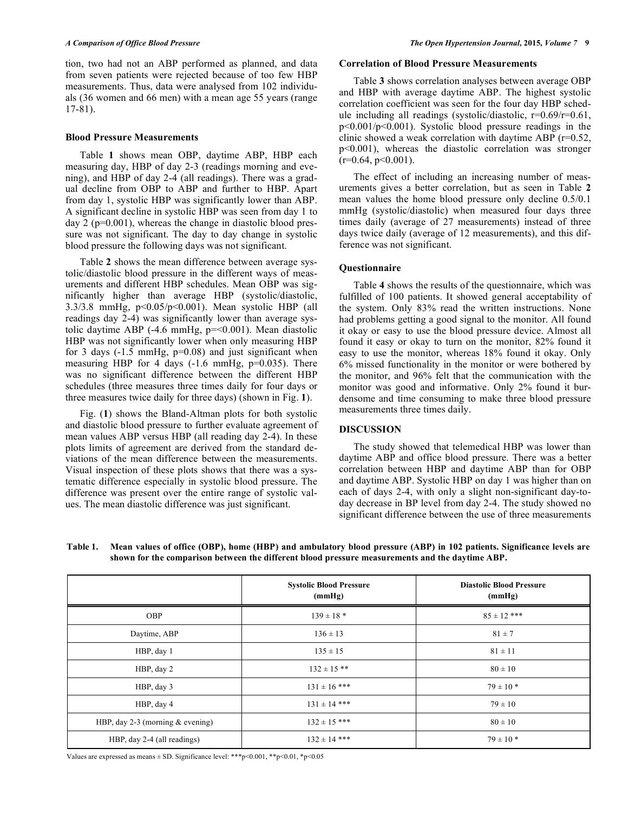tion, two had not an ABP performed as planned, and data from seven patients were rejected because of too few HBP measurements. Thus, data were analysed from 102 individuals (36 women and 66 men) with a mean age 55 years (range 17-81).

#### **Blood Pressure Measurements**

Table **1** shows mean OBP, daytime ABP, HBP each measuring day, HBP of day 2-3 (readings morning and evening), and HBP of day 2-4 (all readings). There was a gradual decline from OBP to ABP and further to HBP. Apart from day 1, systolic HBP was significantly lower than ABP. A significant decline in systolic HBP was seen from day 1 to day  $2$  ( $p=0.001$ ), whereas the change in diastolic blood pressure was not significant. The day to day change in systolic blood pressure the following days was not significant.

Table **2** shows the mean difference between average systolic/diastolic blood pressure in the different ways of measurements and different HBP schedules. Mean OBP was significantly higher than average HBP (systolic/diastolic,  $3.3/3.8$  mmHg,  $p<0.05/p<0.001$ ). Mean systolic HBP (all readings day 2-4) was significantly lower than average systolic daytime ABP  $(-4.6 \text{ mmHg}, p = 0.001)$ . Mean diastolic HBP was not significantly lower when only measuring HBP for 3 days  $(-1.5 \text{ mmHg}, \text{p=0.08})$  and just significant when measuring HBP for 4 days  $(-1.6 \text{ mmHg}, \text{p=0.035})$ . There was no significant difference between the different HBP schedules (three measures three times daily for four days or three measures twice daily for three days) (shown in Fig. **1**).

Fig. (**1**) shows the Bland-Altman plots for both systolic and diastolic blood pressure to further evaluate agreement of mean values ABP versus HBP (all reading day 2-4). In these plots limits of agreement are derived from the standard deviations of the mean difference between the measurements. Visual inspection of these plots shows that there was a systematic difference especially in systolic blood pressure. The difference was present over the entire range of systolic values. The mean diastolic difference was just significant.

# **Correlation of Blood Pressure Measurements**

Table **3** shows correlation analyses between average OBP and HBP with average daytime ABP. The highest systolic correlation coefficient was seen for the four day HBP schedule including all readings (systolic/diastolic,  $r=0.69/r=0.61$ , p<0.001/p<0.001). Systolic blood pressure readings in the clinic showed a weak correlation with daytime ABP (r=0.52, p<0.001), whereas the diastolic correlation was stronger  $(r=0.64, p<0.001)$ .

The effect of including an increasing number of measurements gives a better correlation, but as seen in Table **2** mean values the home blood pressure only decline 0.5/0.1 mmHg (systolic/diastolic) when measured four days three times daily (average of 27 measurements) instead of three days twice daily (average of 12 measurements), and this difference was not significant.

# **Questionnaire**

Table **4** shows the results of the questionnaire, which was fulfilled of 100 patients. It showed general acceptability of the system. Only 83% read the written instructions. None had problems getting a good signal to the monitor. All found it okay or easy to use the blood pressure device. Almost all found it easy or okay to turn on the monitor, 82% found it easy to use the monitor, whereas 18% found it okay. Only 6% missed functionality in the monitor or were bothered by the monitor, and 96% felt that the communication with the monitor was good and informative. Only 2% found it burdensome and time consuming to make three blood pressure measurements three times daily.

# **DISCUSSION**

The study showed that telemedical HBP was lower than daytime ABP and office blood pressure. There was a better correlation between HBP and daytime ABP than for OBP and daytime ABP. Systolic HBP on day 1 was higher than on each of days 2-4, with only a slight non-significant day-today decrease in BP level from day 2-4. The study showed no significant difference between the use of three measurements

**Table 1. Mean values of office (OBP), home (HBP) and ambulatory blood pressure (ABP) in 102 patients. Significance levels are shown for the comparison between the different blood pressure measurements and the daytime ABP.** 

|                                    | <b>Systolic Blood Pressure</b><br>(mmHg) | <b>Diastolic Blood Pressure</b><br>(mmHg) |
|------------------------------------|------------------------------------------|-------------------------------------------|
| <b>OBP</b>                         | $139 \pm 18$ *                           | $85 \pm 12$ ***                           |
| Daytime, ABP                       | $136 \pm 13$                             | $81 \pm 7$                                |
| HBP, day 1                         | $135 \pm 15$                             | $81 \pm 11$                               |
| HBP, day 2                         | $132 \pm 15$ **                          | $80 \pm 10$                               |
| HBP, day 3                         | $131 \pm 16$ ***                         | $79 \pm 10*$                              |
| HBP, day 4                         | $131 \pm 14$ ***                         | $79 \pm 10$                               |
| HBP, day 2-3 (morning $&$ evening) | $132 \pm 15$ ***                         | $80 \pm 10$                               |
| HBP, day 2-4 (all readings)        | $132 \pm 14$ ***                         | $79 \pm 10*$                              |

Values are expressed as means  $\pm$  SD. Significance level: \*\*\*p<0.001, \*\*p<0.01, \*p<0.05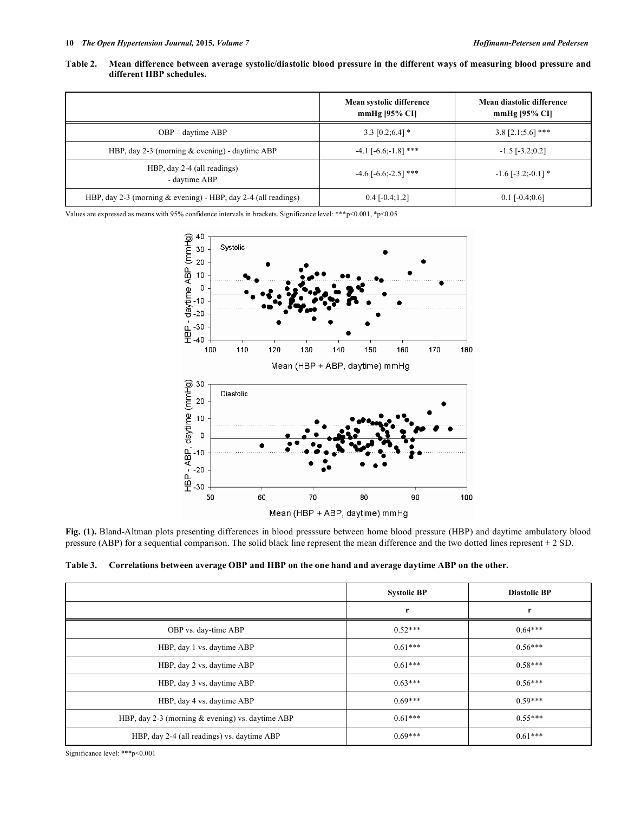|                                                                  | Mean systolic difference<br>mmHg $[95\%$ CI] | Mean diastolic difference<br>$mmHg$ [95% CI] |
|------------------------------------------------------------------|----------------------------------------------|----------------------------------------------|
| OBP – daytime ABP                                                | $3.3$ [0.2;6.4] $*$                          | $3.8$ [2.1;5.6] ***                          |
| HBP, day 2-3 (morning $&$ evening) - daytime ABP                 | $-4.1$ [ $-6.6$ ; $-1.8$ ] ***               | $-1.5$ [ $-3.2;0.2$ ]                        |
| HBP, day 2-4 (all readings)<br>- daytime ABP                     | $-4.6$ [ $-6.6$ ; $-2.5$ ] ***               | $-1.6$ [ $-3.2$ ; $-0.1$ ] *                 |
| HBP, day 2-3 (morning $&$ evening) - HBP, day 2-4 (all readings) | $0.4$ [-0.4;1.2]                             | $0.1$ [-0.4;0.6]                             |

**Table 2. Mean difference between average systolic/diastolic blood pressure in the different ways of measuring blood pressure and different HBP schedules.** 

Values are expressed as means with 95% confidence intervals in brackets. Significance level: \*\*\*p<0.001, \*p<0.05



**Fig. (1).** Bland-Altman plots presenting differences in blood presssure between home blood pressure (HBP) and daytime ambulatory blood pressure (ABP) for a sequential comparison. The solid black line represent the mean difference and the two dotted lines represent  $\pm 2$  SD.

|  |  | Table 3. Correlations between average OBP and HBP on the one hand and average daytime ABP on the other. |
|--|--|---------------------------------------------------------------------------------------------------------|
|  |  |                                                                                                         |

|                                                    | <b>Systolic BP</b> | <b>Diastolic BP</b> |
|----------------------------------------------------|--------------------|---------------------|
|                                                    | r                  | r                   |
| OBP vs. day-time ABP                               | $0.52***$          | $0.64***$           |
| HBP, day 1 vs. daytime ABP                         | $0.61***$          | $0.56***$           |
| HBP, day 2 vs. daytime ABP                         | $0.61***$          | $0.58***$           |
| HBP, day 3 vs. daytime ABP                         | $0.63***$          | $0.56***$           |
| HBP, day 4 vs. daytime ABP                         | $0.69***$          | $0.59***$           |
| HBP, day 2-3 (morning $&$ evening) vs. daytime ABP | $0.61***$          | $0.55***$           |
| HBP, day 2-4 (all readings) vs. daytime ABP        | $0.69***$          | $0.61***$           |

Significance level: \*\*\*p<0.001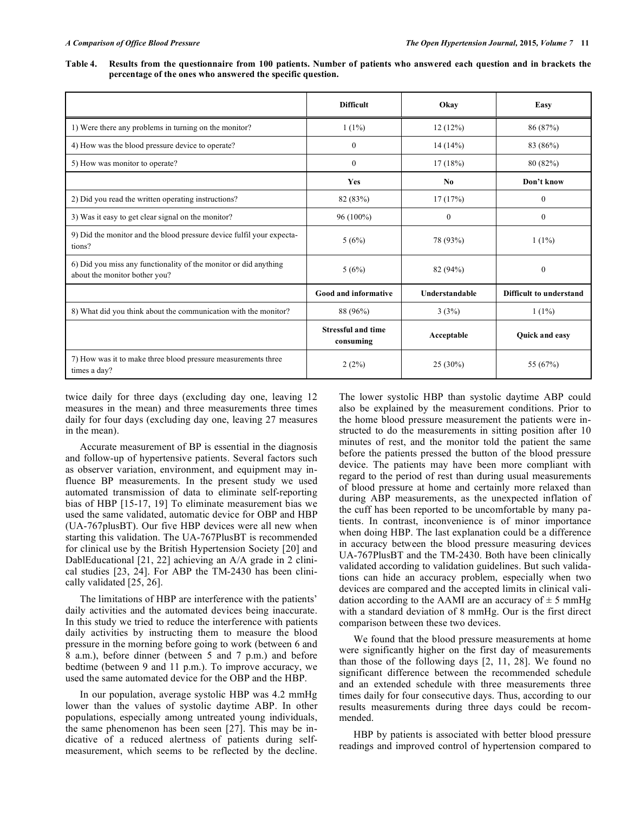**Table 4. Results from the questionnaire from 100 patients. Number of patients who answered each question and in brackets the percentage of the ones who answered the specific question.** 

|                                                                                                   | <b>Difficult</b>                       | Okav           | Easy                           |
|---------------------------------------------------------------------------------------------------|----------------------------------------|----------------|--------------------------------|
| 1) Were there any problems in turning on the monitor?                                             | $1(1\%)$                               | 12(12%)        | 86 (87%)                       |
| 4) How was the blood pressure device to operate?                                                  | $\overline{0}$                         | 14(14%)        | 83 (86%)                       |
| 5) How was monitor to operate?                                                                    | $\mathbf{0}$                           | 17(18%)        | 80 (82%)                       |
|                                                                                                   | Yes                                    | N <sub>0</sub> | Don't know                     |
| 2) Did you read the written operating instructions?                                               | 82 (83%)                               | 17(17%)        | $\mathbf{0}$                   |
| 3) Was it easy to get clear signal on the monitor?                                                | $96(100\%)$                            | $\theta$       | $\theta$                       |
| 9) Did the monitor and the blood pressure device fulfil your expecta-<br>tions?                   | 5(6%)                                  | 78 (93%)       | $1(1\%)$                       |
| 6) Did you miss any functionality of the monitor or did anything<br>about the monitor bother you? | 5(6%)                                  | 82 (94%)       | $\mathbf{0}$                   |
|                                                                                                   | Good and informative                   | Understandable | <b>Difficult to understand</b> |
| 8) What did you think about the communication with the monitor?                                   | 88 (96%)                               | 3(3%)          | $1(1\%)$                       |
|                                                                                                   | <b>Stressful and time</b><br>consuming | Acceptable     | Quick and easy                 |
| 7) How was it to make three blood pressure measurements three<br>times a day?                     | 2(2%)                                  | $25(30\%)$     | 55 (67%)                       |

twice daily for three days (excluding day one, leaving 12 measures in the mean) and three measurements three times daily for four days (excluding day one, leaving 27 measures in the mean).

Accurate measurement of BP is essential in the diagnosis and follow-up of hypertensive patients. Several factors such as observer variation, environment, and equipment may influence BP measurements. In the present study we used automated transmission of data to eliminate self-reporting bias of HBP [15-17, 19] To eliminate measurement bias we used the same validated, automatic device for OBP and HBP (UA-767plusBT). Our five HBP devices were all new when starting this validation. The UA-767PlusBT is recommended for clinical use by the British Hypertension Society [20] and DablEducational [21, 22] achieving an A/A grade in 2 clinical studies [23, 24]. For ABP the TM-2430 has been clinically validated [25, 26].

The limitations of HBP are interference with the patients' daily activities and the automated devices being inaccurate. In this study we tried to reduce the interference with patients daily activities by instructing them to measure the blood pressure in the morning before going to work (between 6 and 8 a.m.), before dinner (between 5 and 7 p.m.) and before bedtime (between 9 and 11 p.m.). To improve accuracy, we used the same automated device for the OBP and the HBP.

In our population, average systolic HBP was 4.2 mmHg lower than the values of systolic daytime ABP. In other populations, especially among untreated young individuals, the same phenomenon has been seen [27]. This may be indicative of a reduced alertness of patients during selfmeasurement, which seems to be reflected by the decline. The lower systolic HBP than systolic daytime ABP could also be explained by the measurement conditions. Prior to the home blood pressure measurement the patients were instructed to do the measurements in sitting position after 10 minutes of rest, and the monitor told the patient the same before the patients pressed the button of the blood pressure device. The patients may have been more compliant with regard to the period of rest than during usual measurements of blood pressure at home and certainly more relaxed than during ABP measurements, as the unexpected inflation of the cuff has been reported to be uncomfortable by many patients. In contrast, inconvenience is of minor importance when doing HBP. The last explanation could be a difference in accuracy between the blood pressure measuring devices UA-767PlusBT and the TM-2430. Both have been clinically validated according to validation guidelines. But such validations can hide an accuracy problem, especially when two devices are compared and the accepted limits in clinical validation according to the AAMI are an accuracy of  $\pm$  5 mmHg with a standard deviation of 8 mmHg. Our is the first direct comparison between these two devices.

We found that the blood pressure measurements at home were significantly higher on the first day of measurements than those of the following days [2, 11, 28]. We found no significant difference between the recommended schedule and an extended schedule with three measurements three times daily for four consecutive days. Thus, according to our results measurements during three days could be recommended.

HBP by patients is associated with better blood pressure readings and improved control of hypertension compared to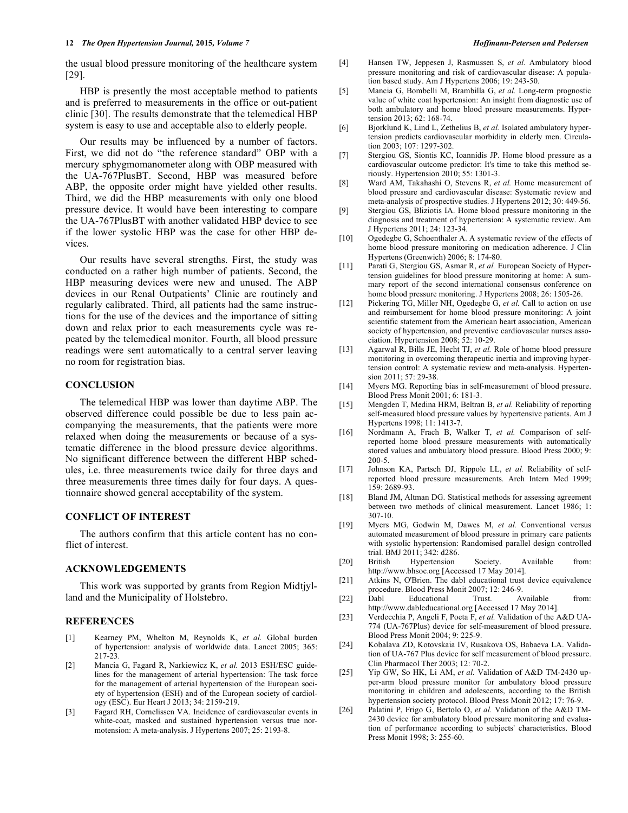#### **12** *The Open Hypertension Journal, 2015, Volume 7 Hoffmann-Petersen and Pedersen Hoffmann-Petersen and Pedersen*

the usual blood pressure monitoring of the healthcare system [29].

HBP is presently the most acceptable method to patients and is preferred to measurements in the office or out-patient clinic [30]. The results demonstrate that the telemedical HBP system is easy to use and acceptable also to elderly people.

Our results may be influenced by a number of factors. First, we did not do "the reference standard" OBP with a mercury sphygmomanometer along with OBP measured with the UA-767PlusBT. Second, HBP was measured before ABP, the opposite order might have yielded other results. Third, we did the HBP measurements with only one blood pressure device. It would have been interesting to compare the UA-767PlusBT with another validated HBP device to see if the lower systolic HBP was the case for other HBP devices.

Our results have several strengths. First, the study was conducted on a rather high number of patients. Second, the HBP measuring devices were new and unused. The ABP devices in our Renal Outpatients' Clinic are routinely and regularly calibrated. Third, all patients had the same instructions for the use of the devices and the importance of sitting down and relax prior to each measurements cycle was repeated by the telemedical monitor. Fourth, all blood pressure readings were sent automatically to a central server leaving no room for registration bias.

# **CONCLUSION**

The telemedical HBP was lower than daytime ABP. The observed difference could possible be due to less pain accompanying the measurements, that the patients were more relaxed when doing the measurements or because of a systematic difference in the blood pressure device algorithms. No significant difference between the different HBP schedules, i.e. three measurements twice daily for three days and three measurements three times daily for four days. A questionnaire showed general acceptability of the system.

# **CONFLICT OF INTEREST**

The authors confirm that this article content has no conflict of interest.

# **ACKNOWLEDGEMENTS**

This work was supported by grants from Region Midtjylland and the Municipality of Holstebro.

#### **REFERENCES**

- [1] Kearney PM, Whelton M, Reynolds K, *et al.* Global burden of hypertension: analysis of worldwide data. Lancet 2005; 365: 217-23.
- [2] Mancia G, Fagard R, Narkiewicz K, *et al.* 2013 ESH/ESC guidelines for the management of arterial hypertension: The task force for the management of arterial hypertension of the European society of hypertension (ESH) and of the European society of cardiology (ESC). Eur Heart J 2013; 34: 2159-219.
- [3] Fagard RH, Cornelissen VA. Incidence of cardiovascular events in white-coat, masked and sustained hypertension versus true normotension: A meta-analysis. J Hypertens 2007; 25: 2193-8.
- [4] Hansen TW, Jeppesen J, Rasmussen S, *et al.* Ambulatory blood pressure monitoring and risk of cardiovascular disease: A population based study. Am J Hypertens 2006; 19: 243-50.
- [5] Mancia G, Bombelli M, Brambilla G, *et al.* Long-term prognostic value of white coat hypertension: An insight from diagnostic use of both ambulatory and home blood pressure measurements. Hypertension 2013; 62: 168-74.
- [6] Bjorklund K, Lind L, Zethelius B, *et al.* Isolated ambulatory hypertension predicts cardiovascular morbidity in elderly men. Circulation 2003; 107: 1297-302.
- [7] Stergiou GS, Siontis KC, Ioannidis JP. Home blood pressure as a cardiovascular outcome predictor: It's time to take this method seriously. Hypertension 2010; 55: 1301-3.
- [8] Ward AM, Takahashi O, Stevens R, *et al.* Home measurement of blood pressure and cardiovascular disease: Systematic review and meta-analysis of prospective studies. J Hypertens 2012; 30: 449-56.
- [9] Stergiou GS, Bliziotis IA. Home blood pressure monitoring in the diagnosis and treatment of hypertension: A systematic review. Am J Hypertens 2011; 24: 123-34.
- [10] Ogedegbe G, Schoenthaler A. A systematic review of the effects of home blood pressure monitoring on medication adherence. J Clin Hypertens (Greenwich) 2006; 8: 174-80.
- [11] Parati G, Stergiou GS, Asmar R, *et al.* European Society of Hypertension guidelines for blood pressure monitoring at home: A summary report of the second international consensus conference on home blood pressure monitoring. J Hypertens 2008; 26: 1505-26.
- [12] Pickering TG, Miller NH, Ogedegbe G, et al. Call to action on use and reimbursement for home blood pressure monitoring: A joint scientific statement from the American heart association, American society of hypertension, and preventive cardiovascular nurses association. Hypertension 2008; 52: 10-29.
- [13] Agarwal R, Bills JE, Hecht TJ, *et al.* Role of home blood pressure monitoring in overcoming therapeutic inertia and improving hypertension control: A systematic review and meta-analysis. Hypertension 2011; 57: 29-38.
- [14] Myers MG. Reporting bias in self-measurement of blood pressure. Blood Press Monit 2001; 6: 181-3.
- [15] Mengden T, Medina HRM, Beltran B, *et al.* Reliability of reporting self-measured blood pressure values by hypertensive patients. Am J Hypertens 1998; 11: 1413-7.
- [16] Nordmann A, Frach B, Walker T, *et al.* Comparison of selfreported home blood pressure measurements with automatically stored values and ambulatory blood pressure. Blood Press 2000; 9: 200-5.
- [17] Johnson KA, Partsch DJ, Rippole LL, *et al.* Reliability of selfreported blood pressure measurements. Arch Intern Med 1999; 159: 2689-93.
- [18] Bland JM, Altman DG. Statistical methods for assessing agreement between two methods of clinical measurement. Lancet 1986; 1: 307-10.
- [19] Myers MG, Godwin M, Dawes M, *et al.* Conventional versus automated measurement of blood pressure in primary care patients with systolic hypertension: Randomised parallel design controlled trial. BMJ 2011; 342: d286.
- [20] British Hypertension Society. Available from: http://www.bhsoc.org [Accessed 17 May 2014].
- [21] Atkins N, O'Brien. The dabl educational trust device equivalence procedure. Blood Press Monit 2007; 12: 246-9.
- [22] Dabl Educational Trust. Available from: http://www.dableducational.org [Accessed 17 May 2014].
- [23] Verdecchia P, Angeli F, Poeta F, *et al.* Validation of the A&D UA-774 (UA-767Plus) device for self-measurement of blood pressure. Blood Press Monit 2004; 9: 225-9.
- [24] Kobalava ZD, Kotovskaia IV, Rusakova OS, Babaeva LA. Validation of UA-767 Plus device for self measurement of blood pressure. Clin Pharmacol Ther 2003; 12: 70-2.
- [25] Yip GW, So HK, Li AM, *et al.* Validation of A&D TM-2430 upper-arm blood pressure monitor for ambulatory blood pressure monitoring in children and adolescents, according to the British hypertension society protocol. Blood Press Monit 2012; 17: 76-9.
- [26] Palatini P, Frigo G, Bertolo O, *et al.* Validation of the A&D TM-2430 device for ambulatory blood pressure monitoring and evaluation of performance according to subjects' characteristics. Blood Press Monit 1998; 3: 255-60.